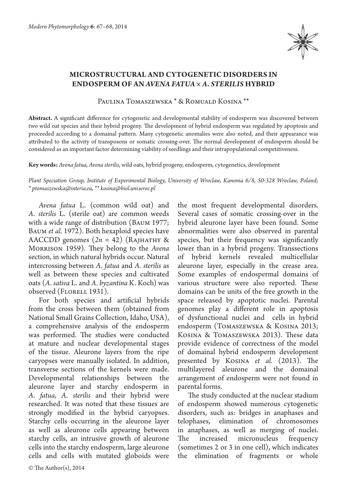

## **MICROSTRUCTURAL AND CYTOGENETIC DISORDERS IN ENDOSPERM OF AN** *AVENA FATUA × A. STERILIS* **HYBRID**

Paulina Tomaszewska \* & Romuald Kosina \*\*

**Abstract.** A significant difference for cytogenetic and developmental stability of endosperm was discovered between two wild oat species and their hybrid progeny. The development of hybrid endosperm was regulated by apoptosis and proceeded according to a domainal pattern. Many cytogenetic anomalies were also noted, and their appearance was attributed to the activity of transposons or somatic crossing-over. The normal development of endosperm should be considered as an important factor determining viability of seedlings and their intrapopulational competitiveness.

**Key words:** *Avena fatua, Avena sterilis*, wild oats, hybrid progeny, endosperm, cytogenetics, development

*Plant Speciation Group, Institute of Experimental Biology, University of Wroclaw, Kanonia 6/8, 50-328 Wroclaw, Poland; \* ptomaszewska@interia.eu, \*\* kosina@biol.uni.wroc.pl*

*Avena fatua* L. (common wild oat) and *A. sterilis* L. (sterile oat) are common weeds with a wide range of distribution (Baum 1977; BAUM *et al.* 1972). Both hexaploid species have AACCDD genomes  $(2n = 42)$  (RAJHATHY & Morrison 1959). They belong to the *Avena* section, in which natural hybrids occur. Natural intercrossing between *A. fatua* and *A. sterilis* as well as between these species and cultivated oats (*A. sativa* L. and *A. byzantina* K. Koch) was observed (FLORELL 1931).

For both species and artificial hybrids from the cross between them (obtained from National Small Grains Collection, Idaho, USA), a comprehensive analysis of the endosperm was performed. The studies were conducted at mature and nuclear developmental stages of the tissue. Aleurone layers from the ripe caryopses were manually isolated. In addition, transverse sections of the kernels were made. Developmental relationships between the aleurone layer and starchy endosperm in *A. fatua, A. sterilis* and their hybrid were researched. It was noted that these tissues are strongly modified in the hybrid caryopses. Starchy cells occurring in the aleurone layer as well as aleurone cells appearing between starchy cells, an intrusive growth of aleurone cells into the starchy endosperm, large aleurone cells and cells with mutated globoids were

the most frequent developmental disorders. Several cases of somatic crossing-over in the hybrid aleurone layer have been found. Some abnormalities were also observed in parental species, but their frequency was significantly lower than in a hybrid progeny. Transsections of hybrid kernels revealed multicellular aleurone layer, especially in the crease area. Some examples of endospermal domains of various structure were also reported. These domains can be units of the free growth in the space released by apoptotic nuclei. Parental genomes play a different role in apoptosis of dysfunctional nuclei and cells in hybrid endosperm (Tomaszewska & Kosina 2013; Kosina & Tomaszewska 2013). These data provide evidence of correctness of the model of domainal hybrid endosperm development presented by Kosina *et al.* (2013). The multilayered aleurone and the domainal arrangement of endosperm were not found in parental forms.

The study conducted at the nuclear stadium of endosperm showed numerous cytogenetic disorders, such as: bridges in anaphases and telophases, elimination of chromosomes in anaphases, as well as merging of nuclei. The increased micronucleus frequency (sometimes 2 or 3 in one cell), which indicates the elimination of fragments or whole